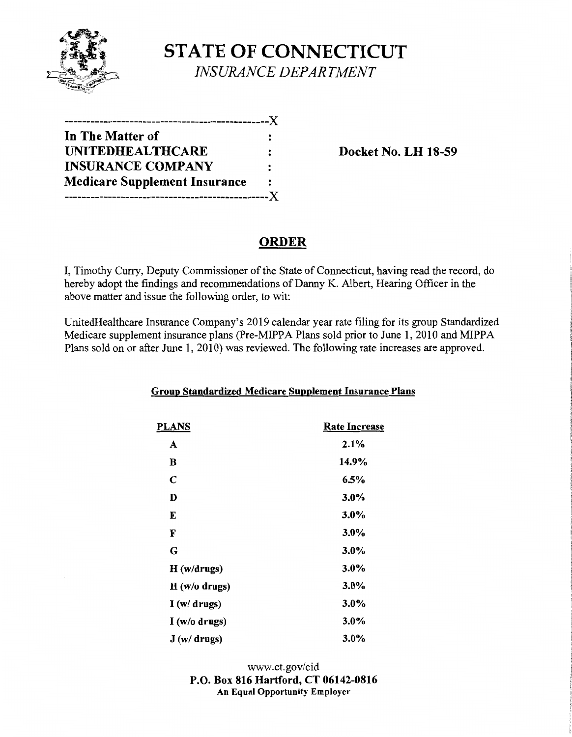

# **STATE OF CONNECTICUT**  *INSURANCE DEPARTMENT*

| ---------------------------X         |                |
|--------------------------------------|----------------|
| In The Matter of                     |                |
| <b>UNITEDHEALTHCARE</b>              |                |
| <b>INSURANCE COMPANY</b>             | $\ddot{\cdot}$ |
| <b>Medicare Supplement Insurance</b> | :              |
| -------------------------            |                |

**Docket No. LH 18-59** 

# **ORDER**

I, Timothy Curry, Deputy Commissioner of the State of Connecticut, having read the record, do hereby adopt the findings and recommendations of Danny K. Albert, Hearing Officer in the above matter and issue the following order, to wit:

UnitedHealthcare Insurance Company's 2019 calendar year rate filing for its group Standardized Medicare supplement insurance plans (Pre-MIPPA Plans sold prior to June 1, 2010 and MIPPA Plans sold on or after June 1, 2010) was reviewed. The following rate increases are approved.

| <b>PLANS</b> | <b>Rate Increase</b> |
|--------------|----------------------|
| A            | 2.1%                 |
| B            | 14.9%                |
| $\mathbf C$  | 6.5%                 |
| D            | $3.0\%$              |
| E            | 3.0%                 |
| F            | $3.0\%$              |
| G            | 3.0%                 |
| H(w/drugs)   | $3.0\%$              |
| H(w/o drugs) | $3.0\%$              |
| I(w/drugs)   | $3.0\%$              |
| I(w/o drugs) | 3.0%                 |
| J(w/drugs)   | $3.0\%$              |

### **Group Standardized Medicare Supplement Insurance Plans**

www.ct.gov/cid **P.O. Box 816 Hartford, CT 06142-0816 An Equal Opportunity Employer**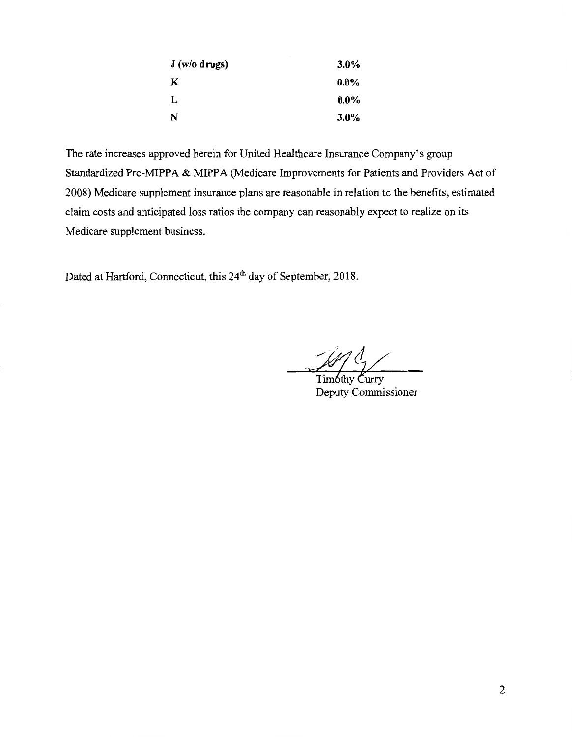| J (w/o drugs) | $3.0\%$ |
|---------------|---------|
| K             | $0.0\%$ |
| L             | $0.0\%$ |
| N             | $3.0\%$ |

The rate increases approved herein for United Healthcare Insurance Company's group Standardized Pre-MIPPA & MIPPA (Medicare Improvements for Patients and Providers Act of 2008) Medicare supplement insurance plans are reasonable in relation to the benefits, estimated claim costs and anticipated loss ratios the company can reasonably expect to realize on its Medicare supplement business.

Dated at Hartford, Connecticut, this 24<sup>th</sup> day of September, 2018.

Timóthy Curry Deputy Commissioner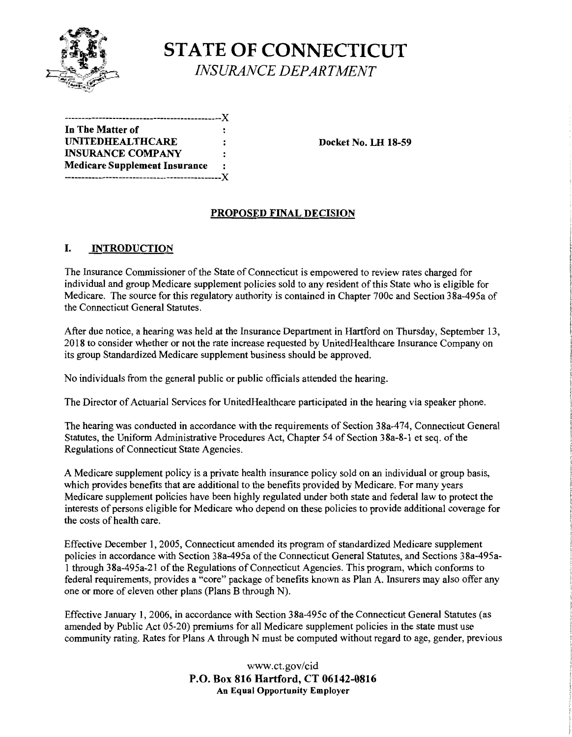

# **STATE OF CONNECTICUT** \< *INSURANCE DEPARTMENT*

----------------------------------------------)( **In The Matter of**  UNITEDHEALTHCARE : Docket No. LH 18-59 **INSURANCE COMPANY Medicare Supplement Insurance**  ----------------------------------------------)(

## **PROPOSED FINAL DECISION**

### I. **INTRODUCTION**

The Insurance Commissioner of the State of Connecticut is empowered to review rates charged for individual and group Medicare supplement policies sold to any resident of this State who is eligible for Medicare. The source for this regulatory authority is contained in Chapter 700c and Section 38a-495a of the Connecticut General Statutes.

After due notice, a hearing was held at the Insurance Department in Hartford on Thursday, September 13, 2018 to consider whether or not the rate increase requested by UnitedHealthcare Insurance Company on its group Standardized Medicare supplement business should be approved.

No individuals from the general public or public officials attended the hearing.

The Director of Actuarial Services for UnitedHealthcare participated in the hearing via speaker phone.

The hearing was conducted in accordance with the requirements of Section 38a-474, Connecticut General Statutes, the Uniform Administrative Procedures Act, Chapter 54 of Section 38a-8-1 et seq. of the Regulations of Connecticut State Agencies.

A Medicare supplement policy is a private health insurance policy sold on an individual or group basis, which provides benefits that are additional to the benefits provided by Medicare. For many years Medicare supplement policies have been highly regulated under both state and federal law to protect the interests of persons eligible for Medicare who depend on these policies to provide additional coverage for the costs of health care.

Effective December 1, 2005, Connecticut amended its program of standardized Medicare supplement policies in accordance with Section 38a-495a of the Connecticut General Statutes, and Sections 38a-495a-1 through 3 8a-495a-21 ofthe Regulations of Connecticut Agencies. This program, which conforms to federal requirements, provides a "core" package of benefits known as Plan A. Insurers may also offer any one or more of eleven other plans (Plans B through N).

Effective January 1, 2006, in accordance with Section 38a-495c of the Connecticut General Statutes (as amended by Public Act 05-20) premiums for all Medicare supplement policies in the state must use community rating. Rates for Plans A through N must be computed without regard to age, gender, previous

> www.ct.gov/cid **P.O. Box 816 Hartford, CT 06142-0816 An Equal Opportunity Employer**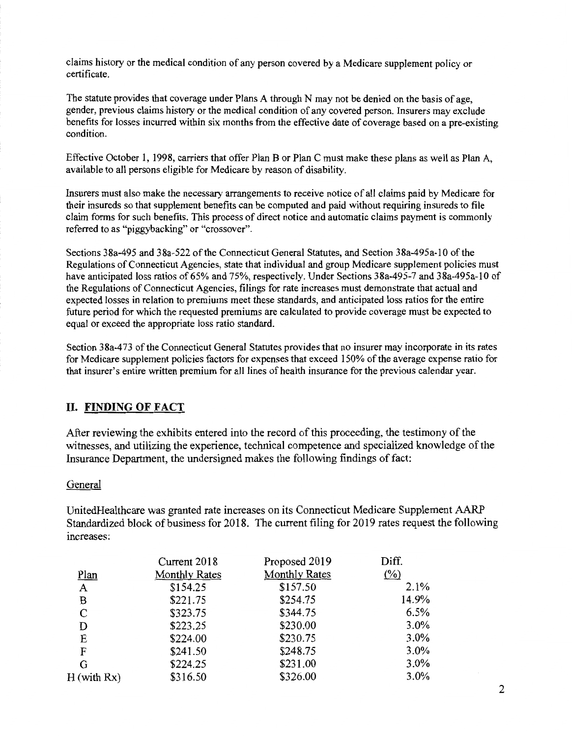claims history or the medical condition of any person covered by a Medicare supplement policy or certificate.

The statute provides that coverage under Plans A through N may not be denied on the basis of age, gender, previous claims history or the medical condition of any covered person. Insurers may exclude benefits for losses incurred within six months from the effective date of coverage based on a pre-existing condition.

Effective October 1, 1998, carriers that offer Plan B or Plan C must make these plans as well as Plan A, available to all persons eligible for Medicare by reason of disability.

Insurers must also make the necessary arrangements to receive notice of all claims paid by Medicare for their insureds so that supplement benefits can be computed and paid without requiring insureds to file claim forms for such benefits. This process of direct notice and automatic claims payment is commonly referred to as "piggybacking" or "crossover".

Sections 38a-495 and 38a-522 of the Connecticut General Statutes, and Section 38a-495a-10 of the Regulations of Connecticut Agencies, state that individual and group Medicare supplement policies must have anticipated loss ratios of 65% and 75%, respectively. Under Sections 38a-495-7 and 38a-495a-10 of the Regulations of Connecticut Agencies, filings for rate increases must demonstrate that actual and expected losses in relation to premiums meet these standards, and anticipated loss ratios for the entire future period for which the requested premiums are calculated to provide coverage must be expected to equal or exceed the appropriate loss ratio standard.

Section 38a-473 of the Connecticut General Statutes provides that no insurer may incorporate in its rates for Medicare supplement policies factors for expenses that exceed 150% of the average expense ratio for that insurer's entire written premium for all lines of health insurance for the previous calendar year.

#### **II. FINDING OF FACT**

After reviewing the exhibits entered into the record of this proceeding, the testimony of the witnesses, and utilizing the experience, technical competence and specialized knowledge of the Insurance Department, the undersigned makes the following findings of fact:

#### General

UnitedHealthcare was granted rate increases on its Connecticut Medicare Supplement AARP Standardized block of business for 2018. The current filing for 2019 rates request the following increases:

|                  | Current 2018         | Proposed 2019        | Diff.               |
|------------------|----------------------|----------------------|---------------------|
| Plan             | <b>Monthly Rates</b> | <b>Monthly Rates</b> | $\frac{(\%)}{(\%)}$ |
| A                | \$154.25             | \$157.50             | 2.1%                |
| B                | \$221.75             | \$254.75             | 14.9%               |
| C                | \$323.75             | \$344.75             | 6.5%                |
| D                | \$223.25             | \$230.00             | 3.0%                |
| E                | \$224.00             | \$230.75             | 3.0%                |
| F                | \$241.50             | \$248.75             | 3.0%                |
| G                | \$224.25             | \$231.00             | 3.0%                |
| $H$ (with $Rx$ ) | \$316.50             | \$326.00             | 3.0%                |
|                  |                      |                      |                     |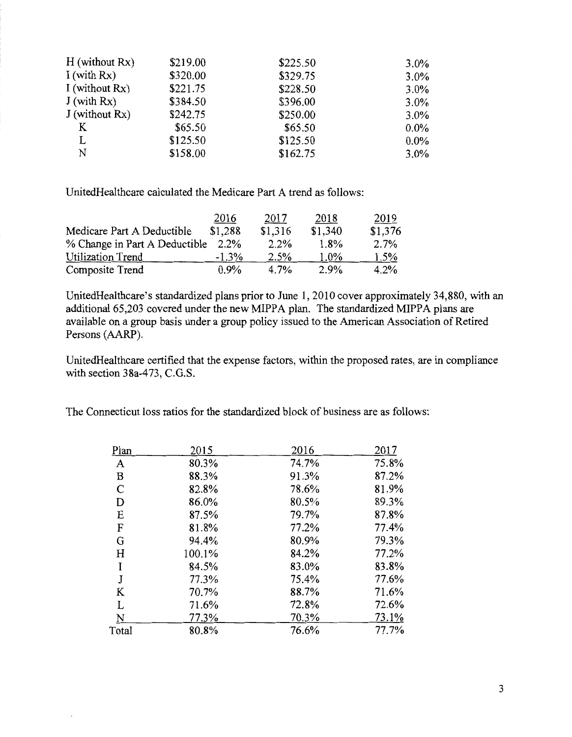| \$219.00 | \$225.50 | $3.0\%$ |
|----------|----------|---------|
| \$320.00 | \$329.75 | $3.0\%$ |
| \$221.75 | \$228.50 | $3.0\%$ |
| \$384.50 | \$396.00 | $3.0\%$ |
| \$242.75 | \$250.00 | $3.0\%$ |
| \$65.50  | \$65.50  | $0.0\%$ |
| \$125.50 | \$125.50 | $0.0\%$ |
| \$158.00 | \$162.75 | $3.0\%$ |
|          |          |         |

UnitedHealthcare calculated the Medicare Part A trend as follows:

|                               | 2016     | 2017    | 2018    | 2019    |
|-------------------------------|----------|---------|---------|---------|
| Medicare Part A Deductible    | \$1,288  | \$1,316 | \$1,340 | \$1,376 |
| % Change in Part A Deductible | 2.2%     | 2.2%    | $1.8\%$ | 2.7%    |
| Utilization Trend             | $-1.3\%$ | 2.5%    | $1.0\%$ | 1.5%    |
| Composite Trend               | $0.9\%$  | 4.7%    | 2.9%    | $4.2\%$ |

UnitedHealthcare's standardized plans prior to June 1, 2010 cover approximately 34,880, with an additional 65,203 covered under the new MIPPA plan. The standardized MIPPA plans are available on a group basis under a group policy issued to the American Association of Retired Persons (AARP).

UnitedHealthcare certified that the expense factors, within the proposed rates, are in compliance with section 38a-473, C.G.S.

The Connecticut loss ratios for the standardized block of business are as follows:

| <u>Plan</u>  | 2015   | 2016  | 2017  |
|--------------|--------|-------|-------|
| A            | 80.3%  | 74.7% | 75.8% |
| B            | 88.3%  | 91.3% | 87.2% |
| $\mathsf{C}$ | 82.8%  | 78.6% | 81.9% |
| D            | 86.0%  | 80.5% | 89.3% |
| E            | 87.5%  | 79.7% | 87.8% |
| F            | 81.8%  | 77.2% | 77.4% |
| G            | 94.4%  | 80.9% | 79.3% |
| H            | 100.1% | 84.2% | 77.2% |
| I            | 84.5%  | 83.0% | 83.8% |
| J            | 77.3%  | 75.4% | 77.6% |
| K            | 70.7%  | 88.7% | 71.6% |
| L            | 71.6%  | 72.8% | 72.6% |
| N            | 77.3%  | 70.3% | 73.1% |
| Total        | 80.8%  | 76.6% | 77.7% |